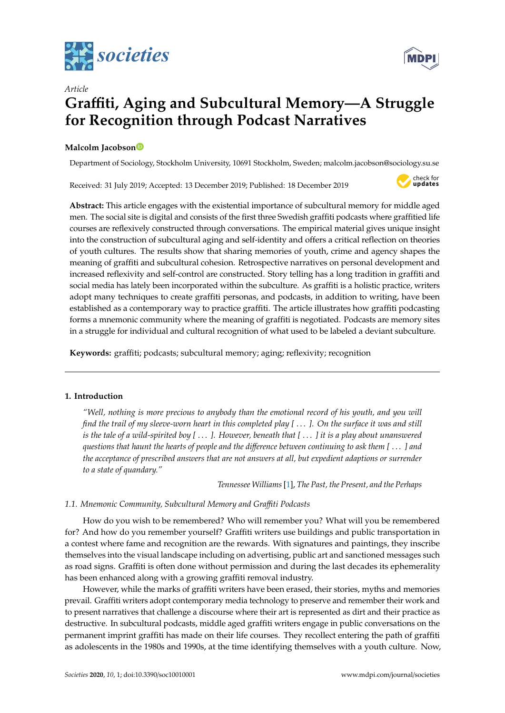



# **Gra**ffi**ti, Aging and Subcultural Memory—A Struggle for Recognition through Podcast Narratives**

# **Malcolm Jacobso[n](https://orcid.org/0000-0001-8616-7095)**

*Article*

Department of Sociology, Stockholm University, 10691 Stockholm, Sweden; malcolm.jacobson@sociology.su.se

Received: 31 July 2019; Accepted: 13 December 2019; Published: 18 December 2019



**Abstract:** This article engages with the existential importance of subcultural memory for middle aged men. The social site is digital and consists of the first three Swedish graffiti podcasts where graffitied life courses are reflexively constructed through conversations. The empirical material gives unique insight into the construction of subcultural aging and self-identity and offers a critical reflection on theories of youth cultures. The results show that sharing memories of youth, crime and agency shapes the meaning of graffiti and subcultural cohesion. Retrospective narratives on personal development and increased reflexivity and self-control are constructed. Story telling has a long tradition in graffiti and social media has lately been incorporated within the subculture. As graffiti is a holistic practice, writers adopt many techniques to create graffiti personas, and podcasts, in addition to writing, have been established as a contemporary way to practice graffiti. The article illustrates how graffiti podcasting forms a mnemonic community where the meaning of graffiti is negotiated. Podcasts are memory sites in a struggle for individual and cultural recognition of what used to be labeled a deviant subculture.

**Keywords:** graffiti; podcasts; subcultural memory; aging; reflexivity; recognition

### **1. Introduction**

*"Well, nothing is more precious to anybody than the emotional record of his youth, and you will find the trail of my sleeve-worn heart in this completed play [* . . . *]. On the surface it was and still is the tale of a wild-spirited boy [* . . . *]. However, beneath that [* . . . *] it is a play about unanswered questions that haunt the hearts of people and the di*ff*erence between continuing to ask them [* . . . *] and the acceptance of prescribed answers that are not answers at all, but expedient adaptions or surrender to a state of quandary."*

*Tennessee Williams*[\[1\]](#page-14-0), *The Past, the Present, and the Perhaps*

## *1.1. Mnemonic Community, Subcultural Memory and Gra*ffi*ti Podcasts*

How do you wish to be remembered? Who will remember you? What will you be remembered for? And how do you remember yourself? Graffiti writers use buildings and public transportation in a contest where fame and recognition are the rewards. With signatures and paintings, they inscribe themselves into the visual landscape including on advertising, public art and sanctioned messages such as road signs. Graffiti is often done without permission and during the last decades its ephemerality has been enhanced along with a growing graffiti removal industry.

However, while the marks of graffiti writers have been erased, their stories, myths and memories prevail. Graffiti writers adopt contemporary media technology to preserve and remember their work and to present narratives that challenge a discourse where their art is represented as dirt and their practice as destructive. In subcultural podcasts, middle aged graffiti writers engage in public conversations on the permanent imprint graffiti has made on their life courses. They recollect entering the path of graffiti as adolescents in the 1980s and 1990s, at the time identifying themselves with a youth culture. Now,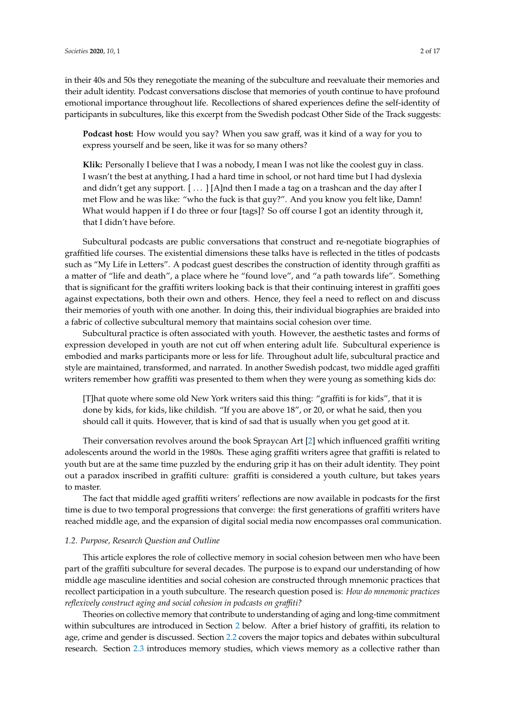in their 40s and 50s they renegotiate the meaning of the subculture and reevaluate their memories and their adult identity. Podcast conversations disclose that memories of youth continue to have profound emotional importance throughout life. Recollections of shared experiences define the self-identity of participants in subcultures, like this excerpt from the Swedish podcast Other Side of the Track suggests:

**Podcast host:** How would you say? When you saw graff, was it kind of a way for you to express yourself and be seen, like it was for so many others?

**Klik:** Personally I believe that I was a nobody, I mean I was not like the coolest guy in class. I wasn't the best at anything, I had a hard time in school, or not hard time but I had dyslexia and didn't get any support. [ . . . ] [A]nd then I made a tag on a trashcan and the day after I met Flow and he was like: "who the fuck is that guy?". And you know you felt like, Damn! What would happen if I do three or four [tags]? So off course I got an identity through it, that I didn't have before.

Subcultural podcasts are public conversations that construct and re-negotiate biographies of graffitied life courses. The existential dimensions these talks have is reflected in the titles of podcasts such as "My Life in Letters". A podcast guest describes the construction of identity through graffiti as a matter of "life and death", a place where he "found love", and "a path towards life". Something that is significant for the graffiti writers looking back is that their continuing interest in graffiti goes against expectations, both their own and others. Hence, they feel a need to reflect on and discuss their memories of youth with one another. In doing this, their individual biographies are braided into a fabric of collective subcultural memory that maintains social cohesion over time.

Subcultural practice is often associated with youth. However, the aesthetic tastes and forms of expression developed in youth are not cut off when entering adult life. Subcultural experience is embodied and marks participants more or less for life. Throughout adult life, subcultural practice and style are maintained, transformed, and narrated. In another Swedish podcast, two middle aged graffiti writers remember how graffiti was presented to them when they were young as something kids do:

[T]hat quote where some old New York writers said this thing: "graffiti is for kids", that it is done by kids, for kids, like childish. "If you are above 18", or 20, or what he said, then you should call it quits. However, that is kind of sad that is usually when you get good at it.

Their conversation revolves around the book Spraycan Art [\[2\]](#page-14-1) which influenced graffiti writing adolescents around the world in the 1980s. These aging graffiti writers agree that graffiti is related to youth but are at the same time puzzled by the enduring grip it has on their adult identity. They point out a paradox inscribed in graffiti culture: graffiti is considered a youth culture, but takes years to master.

The fact that middle aged graffiti writers' reflections are now available in podcasts for the first time is due to two temporal progressions that converge: the first generations of graffiti writers have reached middle age, and the expansion of digital social media now encompasses oral communication.

#### *1.2. Purpose, Research Question and Outline*

This article explores the role of collective memory in social cohesion between men who have been part of the graffiti subculture for several decades. The purpose is to expand our understanding of how middle age masculine identities and social cohesion are constructed through mnemonic practices that recollect participation in a youth subculture. The research question posed is: *How do mnemonic practices reflexively construct aging and social cohesion in podcasts on gra*ffi*ti?*

Theories on collective memory that contribute to understanding of aging and long-time commitment within subcultures are introduced in Section [2](#page-2-0) below. After a brief history of graffiti, its relation to age, crime and gender is discussed. Section [2.2](#page-3-0) covers the major topics and debates within subcultural research. Section [2.3](#page-3-1) introduces memory studies, which views memory as a collective rather than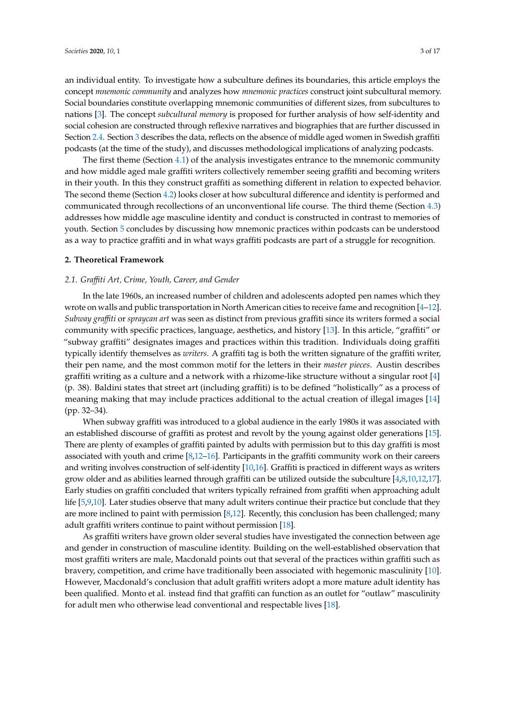an individual entity. To investigate how a subculture defines its boundaries, this article employs the concept *mnemonic community* and analyzes how *mnemonic practices* construct joint subcultural memory. Social boundaries constitute overlapping mnemonic communities of different sizes, from subcultures to nations [\[3\]](#page-14-2). The concept *subcultural memory* is proposed for further analysis of how self-identity and social cohesion are constructed through reflexive narratives and biographies that are further discussed in Section [2.4.](#page-4-0) Section [3](#page-5-0) describes the data, reflects on the absence of middle aged women in Swedish graffiti podcasts (at the time of the study), and discusses methodological implications of analyzing podcasts.

The first theme (Section [4.1\)](#page-6-0) of the analysis investigates entrance to the mnemonic community and how middle aged male graffiti writers collectively remember seeing graffiti and becoming writers in their youth. In this they construct graffiti as something different in relation to expected behavior. The second theme (Section [4.2\)](#page-7-0) looks closer at how subcultural difference and identity is performed and communicated through recollections of an unconventional life course. The third theme (Section [4.3\)](#page-10-0) addresses how middle age masculine identity and conduct is constructed in contrast to memories of youth. Section [5](#page-13-0) concludes by discussing how mnemonic practices within podcasts can be understood as a way to practice graffiti and in what ways graffiti podcasts are part of a struggle for recognition.

#### <span id="page-2-0"></span>**2. Theoretical Framework**

#### *2.1. Gra*ffi*ti Art, Crime, Youth, Career, and Gender*

In the late 1960s, an increased number of children and adolescents adopted pen names which they wrote on walls and public transportation in North American cities to receive fame and recognition [\[4–](#page-14-3)[12\]](#page-14-4). *Subway gra*ffi*ti* or *spraycan art* was seen as distinct from previous graffiti since its writers formed a social community with specific practices, language, aesthetics, and history [\[13\]](#page-14-5). In this article, "graffiti" or "subway graffiti" designates images and practices within this tradition. Individuals doing graffiti typically identify themselves as *writers*. A graffiti tag is both the written signature of the graffiti writer, their pen name, and the most common motif for the letters in their *master pieces*. Austin describes graffiti writing as a culture and a network with a rhizome-like structure without a singular root [\[4\]](#page-14-3) (p. 38). Baldini states that street art (including graffiti) is to be defined "holistically" as a process of meaning making that may include practices additional to the actual creation of illegal images [\[14\]](#page-14-6) (pp. 32–34).

When subway graffiti was introduced to a global audience in the early 1980s it was associated with an established discourse of graffiti as protest and revolt by the young against older generations [\[15\]](#page-14-7). There are plenty of examples of graffiti painted by adults with permission but to this day graffiti is most associated with youth and crime [\[8](#page-14-8)[,12](#page-14-4)[–16\]](#page-14-9). Participants in the graffiti community work on their careers and writing involves construction of self-identity [\[10,](#page-14-10)[16\]](#page-14-9). Graffiti is practiced in different ways as writers grow older and as abilities learned through graffiti can be utilized outside the subculture [\[4](#page-14-3)[,8](#page-14-8)[,10](#page-14-10)[,12,](#page-14-4)[17\]](#page-14-11). Early studies on graffiti concluded that writers typically refrained from graffiti when approaching adult life [\[5](#page-14-12)[,9,](#page-14-13)[10\]](#page-14-10). Later studies observe that many adult writers continue their practice but conclude that they are more inclined to paint with permission [\[8](#page-14-8)[,12\]](#page-14-4). Recently, this conclusion has been challenged; many adult graffiti writers continue to paint without permission [\[18\]](#page-14-14).

As graffiti writers have grown older several studies have investigated the connection between age and gender in construction of masculine identity. Building on the well-established observation that most graffiti writers are male, Macdonald points out that several of the practices within graffiti such as bravery, competition, and crime have traditionally been associated with hegemonic masculinity [\[10\]](#page-14-10). However, Macdonald's conclusion that adult graffiti writers adopt a more mature adult identity has been qualified. Monto et al. instead find that graffiti can function as an outlet for "outlaw" masculinity for adult men who otherwise lead conventional and respectable lives [\[18\]](#page-14-14).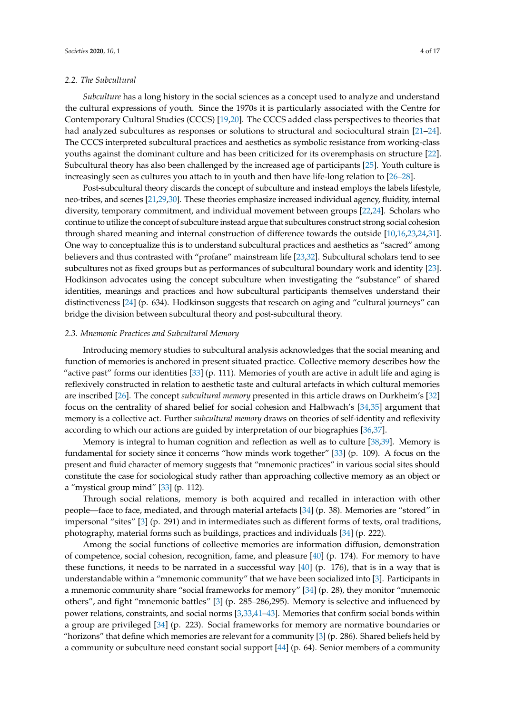#### <span id="page-3-0"></span>*2.2. The Subcultural*

*Subculture* has a long history in the social sciences as a concept used to analyze and understand the cultural expressions of youth. Since the 1970s it is particularly associated with the Centre for Contemporary Cultural Studies (CCCS) [\[19](#page-14-15)[,20\]](#page-14-16). The CCCS added class perspectives to theories that had analyzed subcultures as responses or solutions to structural and sociocultural strain [\[21–](#page-14-17)[24\]](#page-15-0). The CCCS interpreted subcultural practices and aesthetics as symbolic resistance from working-class youths against the dominant culture and has been criticized for its overemphasis on structure [\[22\]](#page-15-1). Subcultural theory has also been challenged by the increased age of participants [\[25\]](#page-15-2). Youth culture is increasingly seen as cultures you attach to in youth and then have life-long relation to [\[26–](#page-15-3)[28\]](#page-15-4).

Post-subcultural theory discards the concept of subculture and instead employs the labels lifestyle, neo-tribes, and scenes [\[21](#page-14-17)[,29](#page-15-5)[,30\]](#page-15-6). These theories emphasize increased individual agency, fluidity, internal diversity, temporary commitment, and individual movement between groups [\[22](#page-15-1)[,24\]](#page-15-0). Scholars who continue to utilize the concept of subculture instead argue that subcultures construct strong social cohesion through shared meaning and internal construction of difference towards the outside [\[10](#page-14-10)[,16,](#page-14-9)[23](#page-15-7)[,24,](#page-15-0)[31\]](#page-15-8). One way to conceptualize this is to understand subcultural practices and aesthetics as "sacred" among believers and thus contrasted with "profane" mainstream life [\[23,](#page-15-7)[32\]](#page-15-9). Subcultural scholars tend to see subcultures not as fixed groups but as performances of subcultural boundary work and identity [\[23\]](#page-15-7). Hodkinson advocates using the concept subculture when investigating the "substance" of shared identities, meanings and practices and how subcultural participants themselves understand their distinctiveness [\[24\]](#page-15-0) (p. 634). Hodkinson suggests that research on aging and "cultural journeys" can bridge the division between subcultural theory and post-subcultural theory.

#### <span id="page-3-1"></span>*2.3. Mnemonic Practices and Subcultural Memory*

Introducing memory studies to subcultural analysis acknowledges that the social meaning and function of memories is anchored in present situated practice. Collective memory describes how the "active past" forms our identities [\[33\]](#page-15-10) (p. 111). Memories of youth are active in adult life and aging is reflexively constructed in relation to aesthetic taste and cultural artefacts in which cultural memories are inscribed [\[26\]](#page-15-3). The concept *subcultural memory* presented in this article draws on Durkheim's [\[32\]](#page-15-9) focus on the centrality of shared belief for social cohesion and Halbwach's [\[34,](#page-15-11)[35\]](#page-15-12) argument that memory is a collective act. Further *subcultural memory* draws on theories of self-identity and reflexivity according to which our actions are guided by interpretation of our biographies [\[36,](#page-15-13)[37\]](#page-15-14).

Memory is integral to human cognition and reflection as well as to culture [\[38,](#page-15-15)[39\]](#page-15-16). Memory is fundamental for society since it concerns "how minds work together" [\[33\]](#page-15-10) (p. 109). A focus on the present and fluid character of memory suggests that "mnemonic practices" in various social sites should constitute the case for sociological study rather than approaching collective memory as an object or a "mystical group mind" [\[33\]](#page-15-10) (p. 112).

Through social relations, memory is both acquired and recalled in interaction with other people—face to face, mediated, and through material artefacts [\[34\]](#page-15-11) (p. 38). Memories are "stored" in impersonal "sites" [\[3\]](#page-14-2) (p. 291) and in intermediates such as different forms of texts, oral traditions, photography, material forms such as buildings, practices and individuals [\[34\]](#page-15-11) (p. 222).

Among the social functions of collective memories are information diffusion, demonstration of competence, social cohesion, recognition, fame, and pleasure [\[40\]](#page-15-17) (p. 174). For memory to have these functions, it needs to be narrated in a successful way  $[40]$  (p. 176), that is in a way that is understandable within a "mnemonic community" that we have been socialized into [\[3\]](#page-14-2). Participants in a mnemonic community share "social frameworks for memory" [\[34\]](#page-15-11) (p. 28), they monitor "mnemonic others", and fight "mnemonic battles" [\[3\]](#page-14-2) (p. 285–286,295). Memory is selective and influenced by power relations, constraints, and social norms [\[3,](#page-14-2)[33,](#page-15-10)[41](#page-15-18)[–43\]](#page-15-19). Memories that confirm social bonds within a group are privileged [\[34\]](#page-15-11) (p. 223). Social frameworks for memory are normative boundaries or "horizons" that define which memories are relevant for a community [\[3\]](#page-14-2) (p. 286). Shared beliefs held by a community or subculture need constant social support [\[44\]](#page-15-20) (p. 64). Senior members of a community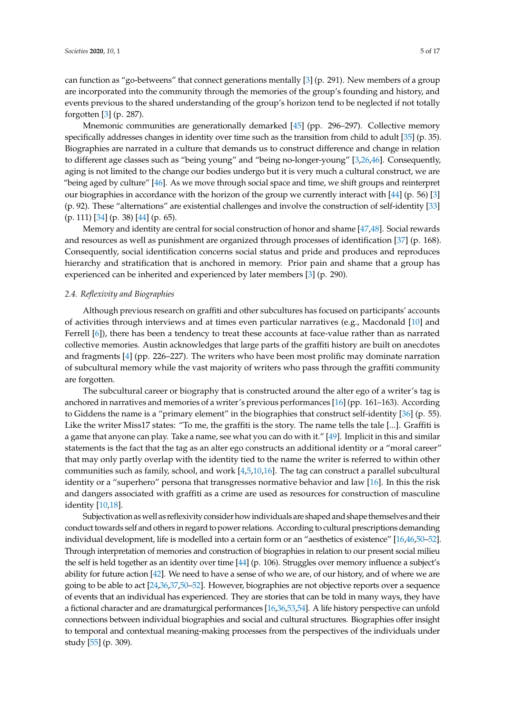can function as "go-betweens" that connect generations mentally [\[3\]](#page-14-2) (p. 291). New members of a group are incorporated into the community through the memories of the group's founding and history, and events previous to the shared understanding of the group's horizon tend to be neglected if not totally forgotten [\[3\]](#page-14-2) (p. 287).

Mnemonic communities are generationally demarked [\[45\]](#page-15-21) (pp. 296–297). Collective memory specifically addresses changes in identity over time such as the transition from child to adult [\[35\]](#page-15-12) (p. 35). Biographies are narrated in a culture that demands us to construct difference and change in relation to different age classes such as "being young" and "being no-longer-young" [\[3](#page-14-2)[,26,](#page-15-3)[46\]](#page-15-22). Consequently, aging is not limited to the change our bodies undergo but it is very much a cultural construct, we are "being aged by culture" [\[46\]](#page-15-22). As we move through social space and time, we shift groups and reinterpret our biographies in accordance with the horizon of the group we currently interact with [\[44\]](#page-15-20) (p. 56) [\[3\]](#page-14-2) (p. 92). These "alternations" are existential challenges and involve the construction of self-identity [\[33\]](#page-15-10) (p. 111) [\[34\]](#page-15-11) (p. 38) [\[44\]](#page-15-20) (p. 65).

Memory and identity are central for social construction of honor and shame [\[47](#page-15-23)[,48\]](#page-15-24). Social rewards and resources as well as punishment are organized through processes of identification [\[37\]](#page-15-14) (p. 168). Consequently, social identification concerns social status and pride and produces and reproduces hierarchy and stratification that is anchored in memory. Prior pain and shame that a group has experienced can be inherited and experienced by later members [\[3\]](#page-14-2) (p. 290).

### <span id="page-4-0"></span>*2.4. Reflexivity and Biographies*

Although previous research on graffiti and other subcultures has focused on participants' accounts of activities through interviews and at times even particular narratives (e.g., Macdonald [\[10\]](#page-14-10) and Ferrell [\[6\]](#page-14-18)), there has been a tendency to treat these accounts at face-value rather than as narrated collective memories. Austin acknowledges that large parts of the graffiti history are built on anecdotes and fragments [\[4\]](#page-14-3) (pp. 226–227). The writers who have been most prolific may dominate narration of subcultural memory while the vast majority of writers who pass through the graffiti community are forgotten.

The subcultural career or biography that is constructed around the alter ego of a writer's tag is anchored in narratives and memories of a writer's previous performances [\[16\]](#page-14-9) (pp. 161–163). According to Giddens the name is a "primary element" in the biographies that construct self-identity [\[36\]](#page-15-13) (p. 55). Like the writer Miss17 states: "To me, the graffiti is the story. The name tells the tale [...]. Graffiti is a game that anyone can play. Take a name, see what you can do with it." [\[49\]](#page-15-25). Implicit in this and similar statements is the fact that the tag as an alter ego constructs an additional identity or a "moral career" that may only partly overlap with the identity tied to the name the writer is referred to within other communities such as family, school, and work [\[4,](#page-14-3)[5,](#page-14-12)[10](#page-14-10)[,16\]](#page-14-9). The tag can construct a parallel subcultural identity or a "superhero" persona that transgresses normative behavior and law [\[16\]](#page-14-9). In this the risk and dangers associated with graffiti as a crime are used as resources for construction of masculine identity [\[10](#page-14-10)[,18\]](#page-14-14).

Subjectivation as well as reflexivity consider how individuals are shaped and shape themselves and their conduct towards self and others in regard to power relations. According to cultural prescriptions demanding individual development, life is modelled into a certain form or an "aesthetics of existence" [\[16,](#page-14-9)[46,](#page-15-22)[50–](#page-15-26)[52\]](#page-15-27). Through interpretation of memories and construction of biographies in relation to our present social milieu the self is held together as an identity over time [\[44\]](#page-15-20) (p. 106). Struggles over memory influence a subject's ability for future action [\[42\]](#page-15-28). We need to have a sense of who we are, of our history, and of where we are going to be able to act [\[24,](#page-15-0)[36,](#page-15-13)[37](#page-15-14)[,50–](#page-15-26)[52\]](#page-15-27). However, biographies are not objective reports over a sequence of events that an individual has experienced. They are stories that can be told in many ways, they have a fictional character and are dramaturgical performances [\[16,](#page-14-9)[36,](#page-15-13)[53,](#page-16-0)[54\]](#page-16-1). A life history perspective can unfold connections between individual biographies and social and cultural structures. Biographies offer insight to temporal and contextual meaning-making processes from the perspectives of the individuals under study [\[55\]](#page-16-2) (p. 309).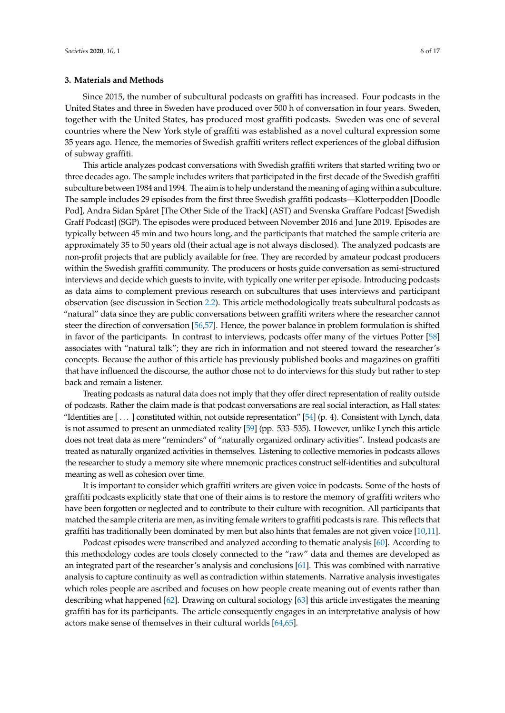### <span id="page-5-0"></span>**3. Materials and Methods**

Since 2015, the number of subcultural podcasts on graffiti has increased. Four podcasts in the United States and three in Sweden have produced over 500 h of conversation in four years. Sweden, together with the United States, has produced most graffiti podcasts. Sweden was one of several countries where the New York style of graffiti was established as a novel cultural expression some 35 years ago. Hence, the memories of Swedish graffiti writers reflect experiences of the global diffusion of subway graffiti.

This article analyzes podcast conversations with Swedish graffiti writers that started writing two or three decades ago. The sample includes writers that participated in the first decade of the Swedish graffiti subculture between 1984 and 1994. The aim is to help understand the meaning of aging within a subculture. The sample includes 29 episodes from the first three Swedish graffiti podcasts—Klotterpodden [Doodle Pod], Andra Sidan Spåret [The Other Side of the Track] (AST) and Svenska Graffare Podcast [Swedish Graff Podcast] (SGP). The episodes were produced between November 2016 and June 2019. Episodes are typically between 45 min and two hours long, and the participants that matched the sample criteria are approximately 35 to 50 years old (their actual age is not always disclosed). The analyzed podcasts are non-profit projects that are publicly available for free. They are recorded by amateur podcast producers within the Swedish graffiti community. The producers or hosts guide conversation as semi-structured interviews and decide which guests to invite, with typically one writer per episode. Introducing podcasts as data aims to complement previous research on subcultures that uses interviews and participant observation (see discussion in Section [2.2\)](#page-3-0). This article methodologically treats subcultural podcasts as "natural" data since they are public conversations between graffiti writers where the researcher cannot steer the direction of conversation [\[56](#page-16-3)[,57\]](#page-16-4). Hence, the power balance in problem formulation is shifted in favor of the participants. In contrast to interviews, podcasts offer many of the virtues Potter [\[58\]](#page-16-5) associates with "natural talk"; they are rich in information and not steered toward the researcher's concepts. Because the author of this article has previously published books and magazines on graffiti that have influenced the discourse, the author chose not to do interviews for this study but rather to step back and remain a listener.

Treating podcasts as natural data does not imply that they offer direct representation of reality outside of podcasts. Rather the claim made is that podcast conversations are real social interaction, as Hall states: "Identities are  $[...]$  constituted within, not outside representation" [\[54\]](#page-16-1) (p. 4). Consistent with Lynch, data is not assumed to present an unmediated reality [\[59\]](#page-16-6) (pp. 533–535). However, unlike Lynch this article does not treat data as mere "reminders" of "naturally organized ordinary activities". Instead podcasts are treated as naturally organized activities in themselves. Listening to collective memories in podcasts allows the researcher to study a memory site where mnemonic practices construct self-identities and subcultural meaning as well as cohesion over time.

It is important to consider which graffiti writers are given voice in podcasts. Some of the hosts of graffiti podcasts explicitly state that one of their aims is to restore the memory of graffiti writers who have been forgotten or neglected and to contribute to their culture with recognition. All participants that matched the sample criteria are men, as inviting female writers to graffiti podcasts is rare. This reflects that graffiti has traditionally been dominated by men but also hints that females are not given voice [\[10](#page-14-10)[,11\]](#page-14-19).

Podcast episodes were transcribed and analyzed according to thematic analysis [\[60\]](#page-16-7). According to this methodology codes are tools closely connected to the "raw" data and themes are developed as an integrated part of the researcher's analysis and conclusions [\[61\]](#page-16-8). This was combined with narrative analysis to capture continuity as well as contradiction within statements. Narrative analysis investigates which roles people are ascribed and focuses on how people create meaning out of events rather than describing what happened [\[62\]](#page-16-9). Drawing on cultural sociology [\[63\]](#page-16-10) this article investigates the meaning graffiti has for its participants. The article consequently engages in an interpretative analysis of how actors make sense of themselves in their cultural worlds [\[64,](#page-16-11)[65\]](#page-16-12).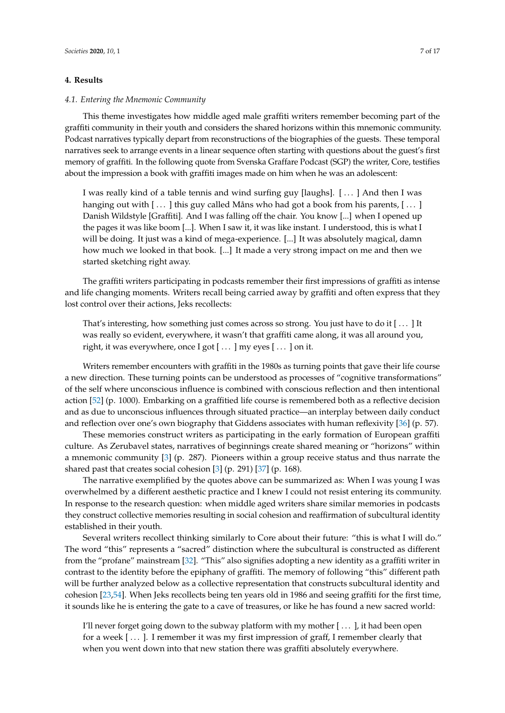### **4. Results**

#### <span id="page-6-0"></span>*4.1. Entering the Mnemonic Community*

This theme investigates how middle aged male graffiti writers remember becoming part of the graffiti community in their youth and considers the shared horizons within this mnemonic community. Podcast narratives typically depart from reconstructions of the biographies of the guests. These temporal narratives seek to arrange events in a linear sequence often starting with questions about the guest's first memory of graffiti. In the following quote from Svenska Graffare Podcast (SGP) the writer, Core, testifies about the impression a book with graffiti images made on him when he was an adolescent:

I was really kind of a table tennis and wind surfing guy [laughs]. [ . . . ] And then I was hanging out with [...] this guy called Måns who had got a book from his parents, [...] Danish Wildstyle [Graffiti]. And I was falling off the chair. You know [...] when I opened up the pages it was like boom [...]. When I saw it, it was like instant. I understood, this is what I will be doing. It just was a kind of mega-experience. [...] It was absolutely magical, damn how much we looked in that book. [...] It made a very strong impact on me and then we started sketching right away.

The graffiti writers participating in podcasts remember their first impressions of graffiti as intense and life changing moments. Writers recall being carried away by graffiti and often express that they lost control over their actions, Jeks recollects:

That's interesting, how something just comes across so strong. You just have to do it [ . . . ] It was really so evident, everywhere, it wasn't that graffiti came along, it was all around you, right, it was everywhere, once I got [...] my eyes [...] on it.

Writers remember encounters with graffiti in the 1980s as turning points that gave their life course a new direction. These turning points can be understood as processes of "cognitive transformations" of the self where unconscious influence is combined with conscious reflection and then intentional action [\[52\]](#page-15-27) (p. 1000). Embarking on a graffitied life course is remembered both as a reflective decision and as due to unconscious influences through situated practice—an interplay between daily conduct and reflection over one's own biography that Giddens associates with human reflexivity [\[36\]](#page-15-13) (p. 57).

These memories construct writers as participating in the early formation of European graffiti culture. As Zerubavel states, narratives of beginnings create shared meaning or "horizons" within a mnemonic community [\[3\]](#page-14-2) (p. 287). Pioneers within a group receive status and thus narrate the shared past that creates social cohesion [\[3\]](#page-14-2) (p. 291) [\[37\]](#page-15-14) (p. 168).

The narrative exemplified by the quotes above can be summarized as: When I was young I was overwhelmed by a different aesthetic practice and I knew I could not resist entering its community. In response to the research question: when middle aged writers share similar memories in podcasts they construct collective memories resulting in social cohesion and reaffirmation of subcultural identity established in their youth.

Several writers recollect thinking similarly to Core about their future: "this is what I will do." The word "this" represents a "sacred" distinction where the subcultural is constructed as different from the "profane" mainstream [\[32\]](#page-15-9). "This" also signifies adopting a new identity as a graffiti writer in contrast to the identity before the epiphany of graffiti. The memory of following "this" different path will be further analyzed below as a collective representation that constructs subcultural identity and cohesion [\[23](#page-15-7)[,54\]](#page-16-1). When Jeks recollects being ten years old in 1986 and seeing graffiti for the first time, it sounds like he is entering the gate to a cave of treasures, or like he has found a new sacred world:

I'll never forget going down to the subway platform with my mother  $[\ldots]$ , it had been open for a week [ . . . ]. I remember it was my first impression of graff, I remember clearly that when you went down into that new station there was graffiti absolutely everywhere.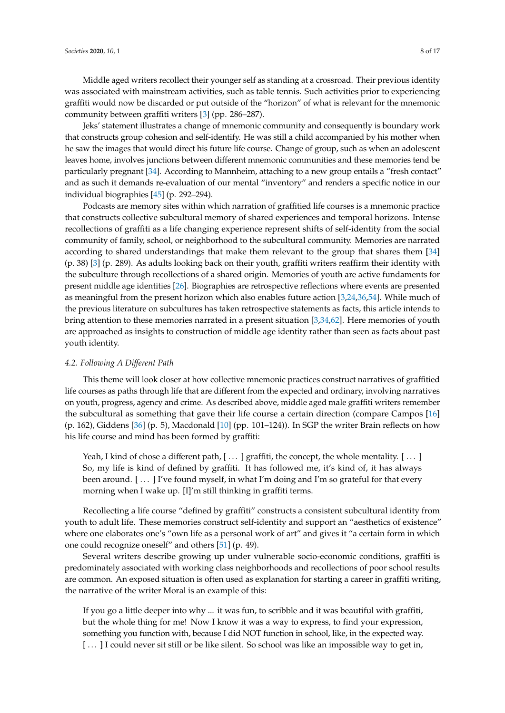Middle aged writers recollect their younger self as standing at a crossroad. Their previous identity was associated with mainstream activities, such as table tennis. Such activities prior to experiencing graffiti would now be discarded or put outside of the "horizon" of what is relevant for the mnemonic community between graffiti writers [\[3\]](#page-14-2) (pp. 286–287).

Jeks' statement illustrates a change of mnemonic community and consequently is boundary work that constructs group cohesion and self-identify. He was still a child accompanied by his mother when he saw the images that would direct his future life course. Change of group, such as when an adolescent leaves home, involves junctions between different mnemonic communities and these memories tend be particularly pregnant [\[34\]](#page-15-11). According to Mannheim, attaching to a new group entails a "fresh contact" and as such it demands re-evaluation of our mental "inventory" and renders a specific notice in our individual biographies [\[45\]](#page-15-21) (p. 292–294).

Podcasts are memory sites within which narration of graffitied life courses is a mnemonic practice that constructs collective subcultural memory of shared experiences and temporal horizons. Intense recollections of graffiti as a life changing experience represent shifts of self-identity from the social community of family, school, or neighborhood to the subcultural community. Memories are narrated according to shared understandings that make them relevant to the group that shares them [\[34\]](#page-15-11) (p. 38) [\[3\]](#page-14-2) (p. 289). As adults looking back on their youth, graffiti writers reaffirm their identity with the subculture through recollections of a shared origin. Memories of youth are active fundaments for present middle age identities [\[26\]](#page-15-3). Biographies are retrospective reflections where events are presented as meaningful from the present horizon which also enables future action [\[3](#page-14-2)[,24,](#page-15-0)[36,](#page-15-13)[54\]](#page-16-1). While much of the previous literature on subcultures has taken retrospective statements as facts, this article intends to bring attention to these memories narrated in a present situation [\[3,](#page-14-2)[34,](#page-15-11)[62\]](#page-16-9). Here memories of youth are approached as insights to construction of middle age identity rather than seen as facts about past youth identity.

#### <span id="page-7-0"></span>*4.2. Following A Di*ff*erent Path*

This theme will look closer at how collective mnemonic practices construct narratives of graffitied life courses as paths through life that are different from the expected and ordinary, involving narratives on youth, progress, agency and crime. As described above, middle aged male graffiti writers remember the subcultural as something that gave their life course a certain direction (compare Campos [\[16\]](#page-14-9) (p. 162), Giddens [\[36\]](#page-15-13) (p. 5), Macdonald [\[10\]](#page-14-10) (pp. 101–124)). In SGP the writer Brain reflects on how his life course and mind has been formed by graffiti:

Yeah, I kind of chose a different path,  $[ \dots ]$  graffiti, the concept, the whole mentality.  $[ \dots ]$ So, my life is kind of defined by graffiti. It has followed me, it's kind of, it has always been around.  $[\,\dots\,]$  I've found myself, in what I'm doing and I'm so grateful for that every morning when I wake up. [I]'m still thinking in graffiti terms.

Recollecting a life course "defined by graffiti" constructs a consistent subcultural identity from youth to adult life. These memories construct self-identity and support an "aesthetics of existence" where one elaborates one's "own life as a personal work of art" and gives it "a certain form in which one could recognize oneself" and others [\[51\]](#page-15-29) (p. 49).

Several writers describe growing up under vulnerable socio-economic conditions, graffiti is predominately associated with working class neighborhoods and recollections of poor school results are common. An exposed situation is often used as explanation for starting a career in graffiti writing, the narrative of the writer Moral is an example of this:

If you go a little deeper into why ... it was fun, to scribble and it was beautiful with graffiti, but the whole thing for me! Now I know it was a way to express, to find your expression, something you function with, because I did NOT function in school, like, in the expected way. [...] I could never sit still or be like silent. So school was like an impossible way to get in,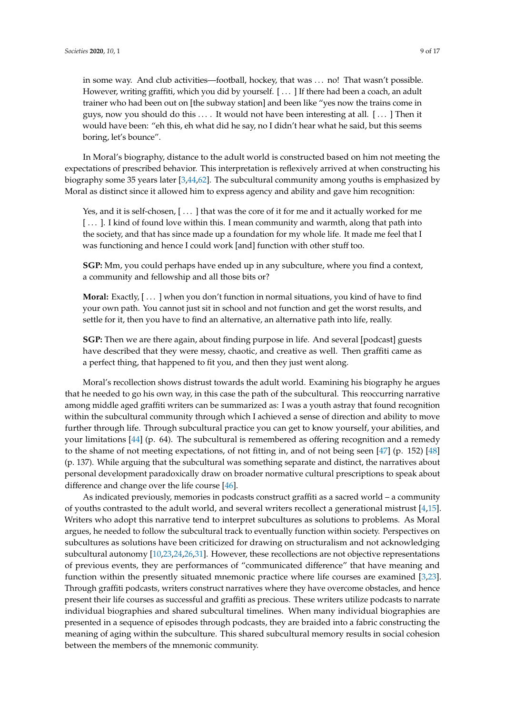in some way. And club activities—football, hockey, that was . . . no! That wasn't possible. However, writing graffiti, which you did by yourself. [ . . . ] If there had been a coach, an adult trainer who had been out on [the subway station] and been like "yes now the trains come in guys, now you should do this . . . . It would not have been interesting at all. [ . . . ] Then it would have been: "eh this, eh what did he say, no I didn't hear what he said, but this seems boring, let's bounce".

In Moral's biography, distance to the adult world is constructed based on him not meeting the expectations of prescribed behavior. This interpretation is reflexively arrived at when constructing his biography some 35 years later [\[3](#page-14-2)[,44,](#page-15-20)[62\]](#page-16-9). The subcultural community among youths is emphasized by Moral as distinct since it allowed him to express agency and ability and gave him recognition:

Yes, and it is self-chosen, [...] that was the core of it for me and it actually worked for me [...]. I kind of found love within this. I mean community and warmth, along that path into the society, and that has since made up a foundation for my whole life. It made me feel that I was functioning and hence I could work [and] function with other stuff too.

**SGP:** Mm, you could perhaps have ended up in any subculture, where you find a context, a community and fellowship and all those bits or?

**Moral:** Exactly, [ . . . ] when you don't function in normal situations, you kind of have to find your own path. You cannot just sit in school and not function and get the worst results, and settle for it, then you have to find an alternative, an alternative path into life, really.

**SGP:** Then we are there again, about finding purpose in life. And several [podcast] guests have described that they were messy, chaotic, and creative as well. Then graffiti came as a perfect thing, that happened to fit you, and then they just went along.

Moral's recollection shows distrust towards the adult world. Examining his biography he argues that he needed to go his own way, in this case the path of the subcultural. This reoccurring narrative among middle aged graffiti writers can be summarized as: I was a youth astray that found recognition within the subcultural community through which I achieved a sense of direction and ability to move further through life. Through subcultural practice you can get to know yourself, your abilities, and your limitations [\[44\]](#page-15-20) (p. 64). The subcultural is remembered as offering recognition and a remedy to the shame of not meeting expectations, of not fitting in, and of not being seen [\[47\]](#page-15-23) (p. 152) [\[48\]](#page-15-24) (p. 137). While arguing that the subcultural was something separate and distinct, the narratives about personal development paradoxically draw on broader normative cultural prescriptions to speak about difference and change over the life course [\[46\]](#page-15-22).

As indicated previously, memories in podcasts construct graffiti as a sacred world – a community of youths contrasted to the adult world, and several writers recollect a generational mistrust [\[4,](#page-14-3)[15\]](#page-14-7). Writers who adopt this narrative tend to interpret subcultures as solutions to problems. As Moral argues, he needed to follow the subcultural track to eventually function within society. Perspectives on subcultures as solutions have been criticized for drawing on structuralism and not acknowledging subcultural autonomy [\[10](#page-14-10)[,23](#page-15-7)[,24](#page-15-0)[,26](#page-15-3)[,31\]](#page-15-8). However, these recollections are not objective representations of previous events, they are performances of "communicated difference" that have meaning and function within the presently situated mnemonic practice where life courses are examined [\[3,](#page-14-2)[23\]](#page-15-7). Through graffiti podcasts, writers construct narratives where they have overcome obstacles, and hence present their life courses as successful and graffiti as precious. These writers utilize podcasts to narrate individual biographies and shared subcultural timelines. When many individual biographies are presented in a sequence of episodes through podcasts, they are braided into a fabric constructing the meaning of aging within the subculture. This shared subcultural memory results in social cohesion between the members of the mnemonic community.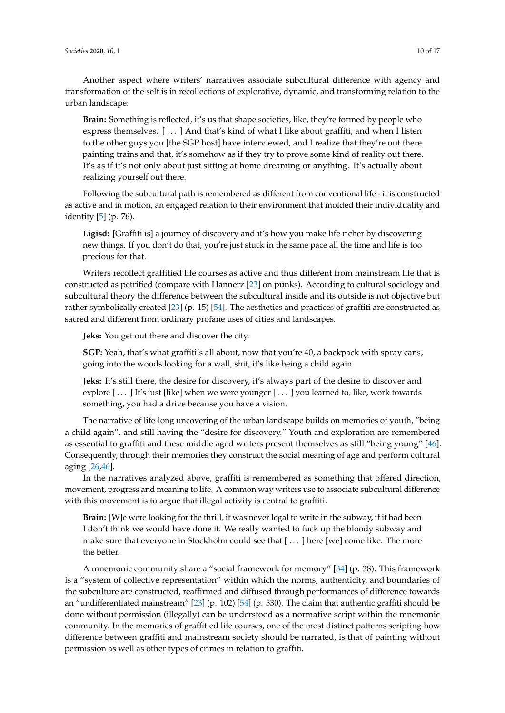Another aspect where writers' narratives associate subcultural difference with agency and transformation of the self is in recollections of explorative, dynamic, and transforming relation to the urban landscape:

**Brain:** Something is reflected, it's us that shape societies, like, they're formed by people who express themselves. [...] And that's kind of what I like about graffiti, and when I listen to the other guys you [the SGP host] have interviewed, and I realize that they're out there painting trains and that, it's somehow as if they try to prove some kind of reality out there. It's as if it's not only about just sitting at home dreaming or anything. It's actually about realizing yourself out there.

Following the subcultural path is remembered as different from conventional life - it is constructed as active and in motion, an engaged relation to their environment that molded their individuality and identity [\[5\]](#page-14-12) (p. 76).

**Ligisd:** [Graffiti is] a journey of discovery and it's how you make life richer by discovering new things. If you don't do that, you're just stuck in the same pace all the time and life is too precious for that.

Writers recollect graffitied life courses as active and thus different from mainstream life that is constructed as petrified (compare with Hannerz [\[23\]](#page-15-7) on punks). According to cultural sociology and subcultural theory the difference between the subcultural inside and its outside is not objective but rather symbolically created [\[23\]](#page-15-7) (p. 15) [\[54\]](#page-16-1). The aesthetics and practices of graffiti are constructed as sacred and different from ordinary profane uses of cities and landscapes.

**Jeks:** You get out there and discover the city.

**SGP:** Yeah, that's what graffiti's all about, now that you're 40, a backpack with spray cans, going into the woods looking for a wall, shit, it's like being a child again.

**Jeks:** It's still there, the desire for discovery, it's always part of the desire to discover and explore [...] It's just [like] when we were younger [...] you learned to, like, work towards something, you had a drive because you have a vision.

The narrative of life-long uncovering of the urban landscape builds on memories of youth, "being a child again", and still having the "desire for discovery." Youth and exploration are remembered as essential to graffiti and these middle aged writers present themselves as still "being young" [\[46\]](#page-15-22). Consequently, through their memories they construct the social meaning of age and perform cultural aging [\[26,](#page-15-3)[46\]](#page-15-22).

In the narratives analyzed above, graffiti is remembered as something that offered direction, movement, progress and meaning to life. A common way writers use to associate subcultural difference with this movement is to argue that illegal activity is central to graffiti.

**Brain:** [W]e were looking for the thrill, it was never legal to write in the subway, if it had been I don't think we would have done it. We really wanted to fuck up the bloody subway and make sure that everyone in Stockholm could see that [ . . . ] here [we] come like. The more the better.

A mnemonic community share a "social framework for memory" [\[34\]](#page-15-11) (p. 38). This framework is a "system of collective representation" within which the norms, authenticity, and boundaries of the subculture are constructed, reaffirmed and diffused through performances of difference towards an "undifferentiated mainstream" [\[23\]](#page-15-7) (p. 102) [\[54\]](#page-16-1) (p. 530). The claim that authentic graffiti should be done without permission (illegally) can be understood as a normative script within the mnemonic community. In the memories of graffitied life courses, one of the most distinct patterns scripting how difference between graffiti and mainstream society should be narrated, is that of painting without permission as well as other types of crimes in relation to graffiti.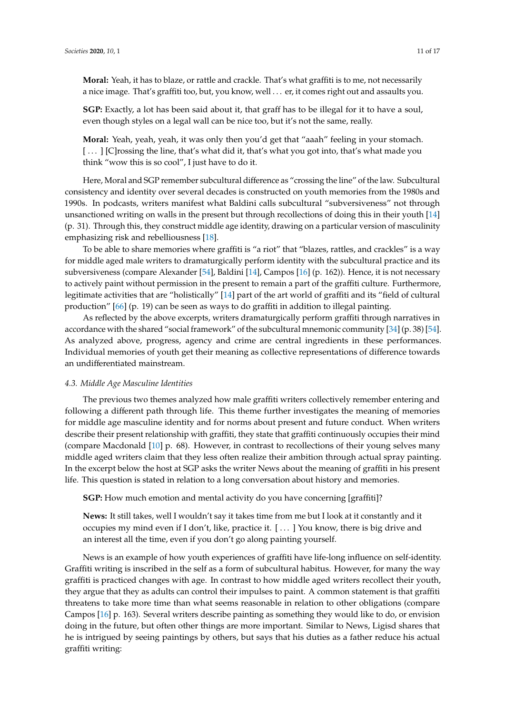**Moral:** Yeah, it has to blaze, or rattle and crackle. That's what graffiti is to me, not necessarily a nice image. That's graffiti too, but, you know, well . . . er, it comes right out and assaults you.

**SGP:** Exactly, a lot has been said about it, that graff has to be illegal for it to have a soul, even though styles on a legal wall can be nice too, but it's not the same, really.

**Moral:** Yeah, yeah, yeah, it was only then you'd get that "aaah" feeling in your stomach. [ . . . ] [C]rossing the line, that's what did it, that's what you got into, that's what made you think "wow this is so cool", I just have to do it.

Here, Moral and SGP remember subcultural difference as "crossing the line" of the law. Subcultural consistency and identity over several decades is constructed on youth memories from the 1980s and 1990s. In podcasts, writers manifest what Baldini calls subcultural "subversiveness" not through unsanctioned writing on walls in the present but through recollections of doing this in their youth [\[14\]](#page-14-6) (p. 31). Through this, they construct middle age identity, drawing on a particular version of masculinity emphasizing risk and rebelliousness [\[18\]](#page-14-14).

To be able to share memories where graffiti is "a riot" that "blazes, rattles, and crackles" is a way for middle aged male writers to dramaturgically perform identity with the subcultural practice and its subversiveness (compare Alexander [\[54\]](#page-16-1), Baldini [\[14\]](#page-14-6), Campos [\[16\]](#page-14-9) (p. 162)). Hence, it is not necessary to actively paint without permission in the present to remain a part of the graffiti culture. Furthermore, legitimate activities that are "holistically" [\[14\]](#page-14-6) part of the art world of graffiti and its "field of cultural production" [\[66\]](#page-16-13) (p. 19) can be seen as ways to do graffiti in addition to illegal painting.

As reflected by the above excerpts, writers dramaturgically perform graffiti through narratives in accordance with the shared "social framework" of the subcultural mnemonic community [\[34\]](#page-15-11) (p. 38) [\[54\]](#page-16-1). As analyzed above, progress, agency and crime are central ingredients in these performances. Individual memories of youth get their meaning as collective representations of difference towards an undifferentiated mainstream.

## <span id="page-10-0"></span>*4.3. Middle Age Masculine Identities*

The previous two themes analyzed how male graffiti writers collectively remember entering and following a different path through life. This theme further investigates the meaning of memories for middle age masculine identity and for norms about present and future conduct. When writers describe their present relationship with graffiti, they state that graffiti continuously occupies their mind (compare Macdonald [\[10\]](#page-14-10) p. 68). However, in contrast to recollections of their young selves many middle aged writers claim that they less often realize their ambition through actual spray painting. In the excerpt below the host at SGP asks the writer News about the meaning of graffiti in his present life. This question is stated in relation to a long conversation about history and memories.

**SGP:** How much emotion and mental activity do you have concerning [graffiti]?

**News:** It still takes, well I wouldn't say it takes time from me but I look at it constantly and it occupies my mind even if I don't, like, practice it. [ . . . ] You know, there is big drive and an interest all the time, even if you don't go along painting yourself.

News is an example of how youth experiences of graffiti have life-long influence on self-identity. Graffiti writing is inscribed in the self as a form of subcultural habitus. However, for many the way graffiti is practiced changes with age. In contrast to how middle aged writers recollect their youth, they argue that they as adults can control their impulses to paint. A common statement is that graffiti threatens to take more time than what seems reasonable in relation to other obligations (compare Campos [\[16\]](#page-14-9) p. 163). Several writers describe painting as something they would like to do, or envision doing in the future, but often other things are more important. Similar to News, Ligisd shares that he is intrigued by seeing paintings by others, but says that his duties as a father reduce his actual graffiti writing: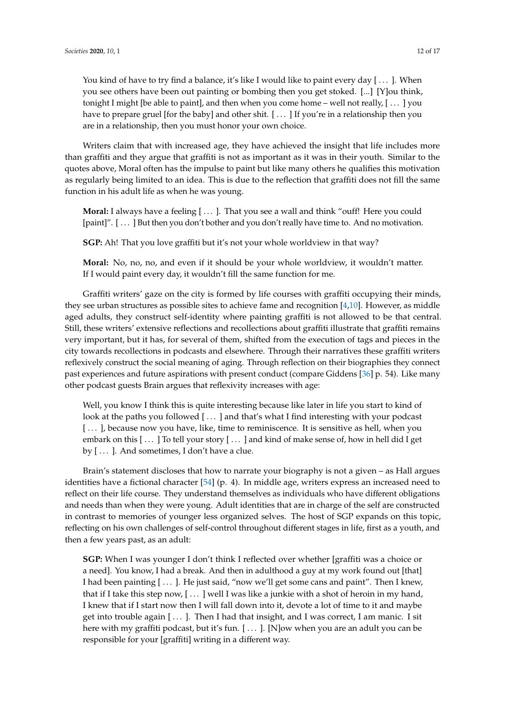Writers claim that with increased age, they have achieved the insight that life includes more than graffiti and they argue that graffiti is not as important as it was in their youth. Similar to the quotes above, Moral often has the impulse to paint but like many others he qualifies this motivation as regularly being limited to an idea. This is due to the reflection that graffiti does not fill the same function in his adult life as when he was young.

have to prepare gruel [for the baby] and other shit. [...] If you're in a relationship then you

**Moral:** I always have a feeling [...]. That you see a wall and think "ouff! Here you could [paint]". [...] But then you don't bother and you don't really have time to. And no motivation.

**SGP:** Ah! That you love graffiti but it's not your whole worldview in that way?

are in a relationship, then you must honor your own choice.

**Moral:** No, no, no, and even if it should be your whole worldview, it wouldn't matter. If I would paint every day, it wouldn't fill the same function for me.

Graffiti writers' gaze on the city is formed by life courses with graffiti occupying their minds, they see urban structures as possible sites to achieve fame and recognition [\[4](#page-14-3)[,10\]](#page-14-10). However, as middle aged adults, they construct self-identity where painting graffiti is not allowed to be that central. Still, these writers' extensive reflections and recollections about graffiti illustrate that graffiti remains very important, but it has, for several of them, shifted from the execution of tags and pieces in the city towards recollections in podcasts and elsewhere. Through their narratives these graffiti writers reflexively construct the social meaning of aging. Through reflection on their biographies they connect past experiences and future aspirations with present conduct (compare Giddens [\[36\]](#page-15-13) p. 54). Like many other podcast guests Brain argues that reflexivity increases with age:

Well, you know I think this is quite interesting because like later in life you start to kind of look at the paths you followed [...] and that's what I find interesting with your podcast [...], because now you have, like, time to reminiscence. It is sensitive as hell, when you embark on this [...] To tell your story [...] and kind of make sense of, how in hell did I get by [...]. And sometimes, I don't have a clue.

Brain's statement discloses that how to narrate your biography is not a given – as Hall argues identities have a fictional character [\[54\]](#page-16-1) (p. 4). In middle age, writers express an increased need to reflect on their life course. They understand themselves as individuals who have different obligations and needs than when they were young. Adult identities that are in charge of the self are constructed in contrast to memories of younger less organized selves. The host of SGP expands on this topic, reflecting on his own challenges of self-control throughout different stages in life, first as a youth, and then a few years past, as an adult:

**SGP:** When I was younger I don't think I reflected over whether [graffiti was a choice or a need]. You know, I had a break. And then in adulthood a guy at my work found out [that] I had been painting [ . . . ]. He just said, "now we'll get some cans and paint". Then I knew, that if I take this step now, [...] well I was like a junkie with a shot of heroin in my hand, I knew that if I start now then I will fall down into it, devote a lot of time to it and maybe get into trouble again  $[\dots]$ . Then I had that insight, and I was correct, I am manic. I sit here with my graffiti podcast, but it's fun. [...]. [N]ow when you are an adult you can be responsible for your [graffiti] writing in a different way.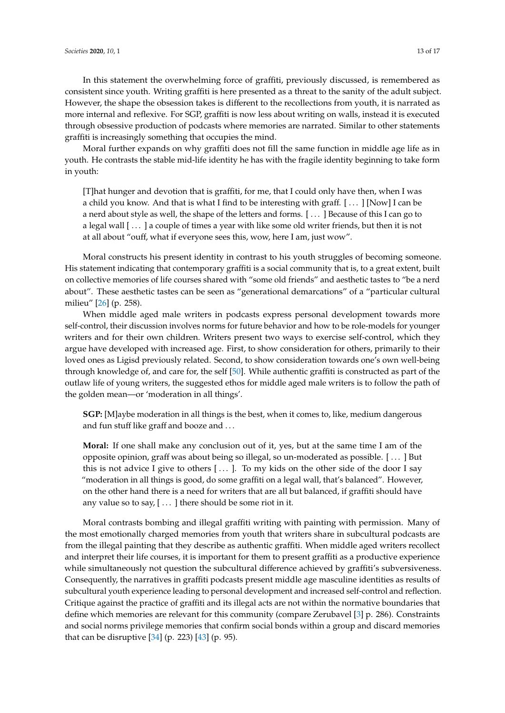Moral further expands on why graffiti does not fill the same function in middle age life as in youth. He contrasts the stable mid-life identity he has with the fragile identity beginning to take form in youth:

[T]hat hunger and devotion that is graffiti, for me, that I could only have then, when I was a child you know. And that is what I find to be interesting with graff.  $[\dots]$  [Now] I can be a nerd about style as well, the shape of the letters and forms. [ . . . ] Because of this I can go to a legal wall [...] a couple of times a year with like some old writer friends, but then it is not at all about "ouff, what if everyone sees this, wow, here I am, just wow".

Moral constructs his present identity in contrast to his youth struggles of becoming someone. His statement indicating that contemporary graffiti is a social community that is, to a great extent, built on collective memories of life courses shared with "some old friends" and aesthetic tastes to "be a nerd about". These aesthetic tastes can be seen as "generational demarcations" of a "particular cultural milieu" [\[26\]](#page-15-3) (p. 258).

When middle aged male writers in podcasts express personal development towards more self-control, their discussion involves norms for future behavior and how to be role-models for younger writers and for their own children. Writers present two ways to exercise self-control, which they argue have developed with increased age. First, to show consideration for others, primarily to their loved ones as Ligisd previously related. Second, to show consideration towards one's own well-being through knowledge of, and care for, the self [\[50\]](#page-15-26). While authentic graffiti is constructed as part of the outlaw life of young writers, the suggested ethos for middle aged male writers is to follow the path of the golden mean—or 'moderation in all things'.

**SGP:** [M]aybe moderation in all things is the best, when it comes to, like, medium dangerous and fun stuff like graff and booze and . . .

**Moral:** If one shall make any conclusion out of it, yes, but at the same time I am of the opposite opinion, graff was about being so illegal, so un-moderated as possible. [ . . . ] But this is not advice I give to others  $[\,\dots\,]$ . To my kids on the other side of the door I say "moderation in all things is good, do some graffiti on a legal wall, that's balanced". However, on the other hand there is a need for writers that are all but balanced, if graffiti should have any value so to say,  $[ \dots ]$  there should be some riot in it.

Moral contrasts bombing and illegal graffiti writing with painting with permission. Many of the most emotionally charged memories from youth that writers share in subcultural podcasts are from the illegal painting that they describe as authentic graffiti. When middle aged writers recollect and interpret their life courses, it is important for them to present graffiti as a productive experience while simultaneously not question the subcultural difference achieved by graffiti's subversiveness. Consequently, the narratives in graffiti podcasts present middle age masculine identities as results of subcultural youth experience leading to personal development and increased self-control and reflection. Critique against the practice of graffiti and its illegal acts are not within the normative boundaries that define which memories are relevant for this community (compare Zerubavel [\[3\]](#page-14-2) p. 286). Constraints and social norms privilege memories that confirm social bonds within a group and discard memories that can be disruptive [\[34\]](#page-15-11) (p. 223) [\[43\]](#page-15-19) (p. 95).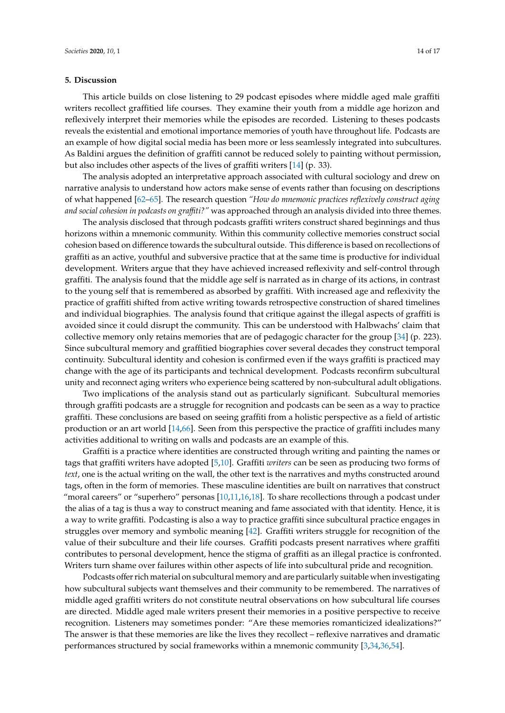#### <span id="page-13-0"></span>**5. Discussion**

This article builds on close listening to 29 podcast episodes where middle aged male graffiti writers recollect graffitied life courses. They examine their youth from a middle age horizon and reflexively interpret their memories while the episodes are recorded. Listening to theses podcasts reveals the existential and emotional importance memories of youth have throughout life. Podcasts are an example of how digital social media has been more or less seamlessly integrated into subcultures. As Baldini argues the definition of graffiti cannot be reduced solely to painting without permission, but also includes other aspects of the lives of graffiti writers [\[14\]](#page-14-6) (p. 33).

The analysis adopted an interpretative approach associated with cultural sociology and drew on narrative analysis to understand how actors make sense of events rather than focusing on descriptions of what happened [\[62–](#page-16-9)[65\]](#page-16-12). The research question *"How do mnemonic practices reflexively construct aging and social cohesion in podcasts on gra*ffi*ti?"* was approached through an analysis divided into three themes.

The analysis disclosed that through podcasts graffiti writers construct shared beginnings and thus horizons within a mnemonic community. Within this community collective memories construct social cohesion based on difference towards the subcultural outside. This difference is based on recollections of graffiti as an active, youthful and subversive practice that at the same time is productive for individual development. Writers argue that they have achieved increased reflexivity and self-control through graffiti. The analysis found that the middle age self is narrated as in charge of its actions, in contrast to the young self that is remembered as absorbed by graffiti. With increased age and reflexivity the practice of graffiti shifted from active writing towards retrospective construction of shared timelines and individual biographies. The analysis found that critique against the illegal aspects of graffiti is avoided since it could disrupt the community. This can be understood with Halbwachs' claim that collective memory only retains memories that are of pedagogic character for the group [\[34\]](#page-15-11) (p. 223). Since subcultural memory and graffitied biographies cover several decades they construct temporal continuity. Subcultural identity and cohesion is confirmed even if the ways graffiti is practiced may change with the age of its participants and technical development. Podcasts reconfirm subcultural unity and reconnect aging writers who experience being scattered by non-subcultural adult obligations.

Two implications of the analysis stand out as particularly significant. Subcultural memories through graffiti podcasts are a struggle for recognition and podcasts can be seen as a way to practice graffiti. These conclusions are based on seeing graffiti from a holistic perspective as a field of artistic production or an art world [\[14,](#page-14-6)[66\]](#page-16-13). Seen from this perspective the practice of graffiti includes many activities additional to writing on walls and podcasts are an example of this.

Graffiti is a practice where identities are constructed through writing and painting the names or tags that graffiti writers have adopted [\[5](#page-14-12)[,10\]](#page-14-10). Graffiti *writers* can be seen as producing two forms of *text*, one is the actual writing on the wall, the other text is the narratives and myths constructed around tags, often in the form of memories. These masculine identities are built on narratives that construct "moral careers" or "superhero" personas [\[10](#page-14-10)[,11](#page-14-19)[,16](#page-14-9)[,18\]](#page-14-14). To share recollections through a podcast under the alias of a tag is thus a way to construct meaning and fame associated with that identity. Hence, it is a way to write graffiti. Podcasting is also a way to practice graffiti since subcultural practice engages in struggles over memory and symbolic meaning [\[42\]](#page-15-28). Graffiti writers struggle for recognition of the value of their subculture and their life courses. Graffiti podcasts present narratives where graffiti contributes to personal development, hence the stigma of graffiti as an illegal practice is confronted. Writers turn shame over failures within other aspects of life into subcultural pride and recognition.

Podcasts offer rich material on subcultural memory and are particularly suitable when investigating how subcultural subjects want themselves and their community to be remembered. The narratives of middle aged graffiti writers do not constitute neutral observations on how subcultural life courses are directed. Middle aged male writers present their memories in a positive perspective to receive recognition. Listeners may sometimes ponder: "Are these memories romanticized idealizations?" The answer is that these memories are like the lives they recollect – reflexive narratives and dramatic performances structured by social frameworks within a mnemonic community [\[3,](#page-14-2)[34,](#page-15-11)[36,](#page-15-13)[54\]](#page-16-1).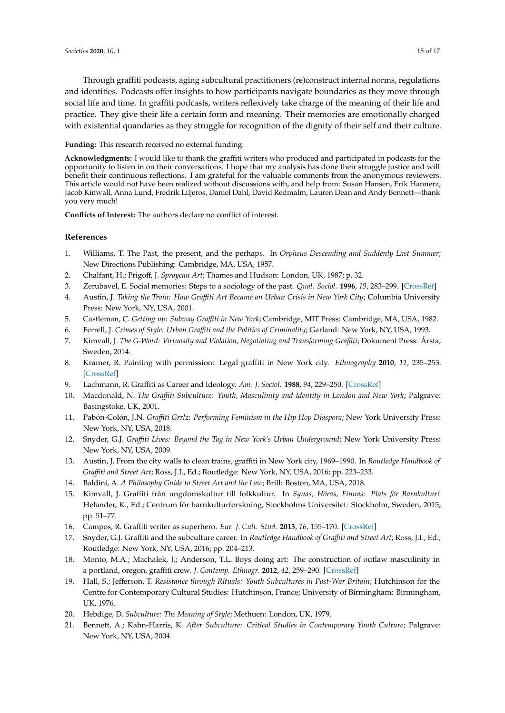Through graffiti podcasts, aging subcultural practitioners (re)construct internal norms, regulations and identities. Podcasts offer insights to how participants navigate boundaries as they move through social life and time. In graffiti podcasts, writers reflexively take charge of the meaning of their life and practice. They give their life a certain form and meaning. Their memories are emotionally charged with existential quandaries as they struggle for recognition of the dignity of their self and their culture.

**Funding:** This research received no external funding.

**Acknowledgments:** I would like to thank the graffiti writers who produced and participated in podcasts for the opportunity to listen in on their conversations. I hope that my analysis has done their struggle justice and will benefit their continuous reflections. I am grateful for the valuable comments from the anonymous reviewers. This article would not have been realized without discussions with, and help from: Susan Hansen, Erik Hannerz, Jacob Kimvall, Anna Lund, Fredrik Liljeros, Daniel Dahl, David Redmalm, Lauren Dean and Andy Bennett—thank you very much!

**Conflicts of Interest:** The authors declare no conflict of interest.

# **References**

- <span id="page-14-0"></span>1. Williams, T. The Past, the present, and the perhaps. In *Orpheus Descending and Suddenly Last Summer*; New Directions Publishing: Cambridge, MA, USA, 1957.
- <span id="page-14-1"></span>2. Chalfant, H.; Prigoff, J. *Spraycan Art*; Thames and Hudson: London, UK, 1987; p. 32.
- <span id="page-14-2"></span>3. Zerubavel, E. Social memories: Steps to a sociology of the past. *Qual. Sociol.* **1996**, *19*, 283–299. [\[CrossRef\]](http://dx.doi.org/10.1007/BF02393273)
- <span id="page-14-3"></span>4. Austin, J. *Taking the Train: How Gra*ffi*ti Art Became an Urban Crisis in New York City*; Columbia University Press: New York, NY, USA, 2001.
- <span id="page-14-12"></span>5. Castleman, C. *Getting up: Subway Gra*ffi*ti in New York*; Cambridge, MIT Press: Cambridge, MA, USA, 1982.
- <span id="page-14-18"></span>6. Ferrell, J. *Crimes of Style: Urban Gra*ffi*ti and the Politics of Criminality*; Garland: New York, NY, USA, 1993.
- 7. Kimvall, J. *The G-Word: Virtuosity and Violation, Negotiating and Transforming Gra*ffi*ti*; Dokument Press: Årsta, Sweden, 2014.
- <span id="page-14-8"></span>8. Kramer, R. Painting with permission: Legal graffiti in New York city. *Ethnography* **2010**, *11*, 235–253. [\[CrossRef\]](http://dx.doi.org/10.1177/1466138109339122)
- <span id="page-14-13"></span>9. Lachmann, R. Graffiti as Career and Ideology. *Am. J. Sociol.* **1988**, *94*, 229–250. [\[CrossRef\]](http://dx.doi.org/10.1086/228990)
- <span id="page-14-10"></span>10. Macdonald, N. *The Gra*ffi*ti Subculture: Youth, Masculinity and Identity in London and New York*; Palgrave: Basingstoke, UK, 2001.
- <span id="page-14-19"></span>11. Pabón-Colón, J.N. *Gra*ffi*ti Grrlz: Performing Feminism in the Hip Hop Diaspora*; New York University Press: New York, NY, USA, 2018.
- <span id="page-14-4"></span>12. Snyder, G.J. *Gra*ffi*ti Lives: Beyond the Tag in New York's Urban Underground*; New York University Press: New York, NY, USA, 2009.
- <span id="page-14-5"></span>13. Austin, J. From the city walls to clean trains, graffiti in New York city, 1969–1990. In *Routledge Handbook of Gra*ffi*ti and Street Art*; Ross, J.I., Ed.; Routledge: New York, NY, USA, 2016; pp. 223–233.
- <span id="page-14-6"></span>14. Baldini, A. *A Philosophy Guide to Street Art and the Law*; Brill: Boston, MA, USA, 2018.
- <span id="page-14-7"></span>15. Kimvall, J. Graffiti från ungdomskultur till folkkultur. In *Synas, Höras, Finnas: Plats för Barnkultur!* Helander, K., Ed.; Centrum för barnkulturforskning, Stockholms Universitet: Stockholm, Sweden, 2015; pp. 51–77.
- <span id="page-14-9"></span>16. Campos, R. Graffiti writer as superhero. *Eur. J. Cult. Stud.* **2013**, *16*, 155–170. [\[CrossRef\]](http://dx.doi.org/10.1177/1367549412467177)
- <span id="page-14-11"></span>17. Snyder, G.J. Graffiti and the subculture career. In *Routledge Handbook of Gra*ffi*ti and Street Art*; Ross, J.I., Ed.; Routledge: New York, NY, USA, 2016; pp. 204–213.
- <span id="page-14-14"></span>18. Monto, M.A.; Machalek, J.; Anderson, T.L. Boys doing art: The construction of outlaw masculinity in a portland, oregon, graffiti crew. *J. Contemp. Ethnogr.* **2012**, *42*, 259–290. [\[CrossRef\]](http://dx.doi.org/10.1177/0891241612465981)
- <span id="page-14-15"></span>19. Hall, S.; Jefferson, T. *Resistance through Rituals: Youth Subcultures in Post-War Britain*; Hutchinson for the Centre for Contemporary Cultural Studies: Hutchinson, France; University of Birmingham: Birmingham, UK, 1976.
- <span id="page-14-16"></span>20. Hebdige, D. *Subculture: The Meaning of Style*; Methuen: London, UK, 1979.
- <span id="page-14-17"></span>21. Bennett, A.; Kahn-Harris, K. *After Subculture: Critical Studies in Contemporary Youth Culture*; Palgrave: New York, NY, USA, 2004.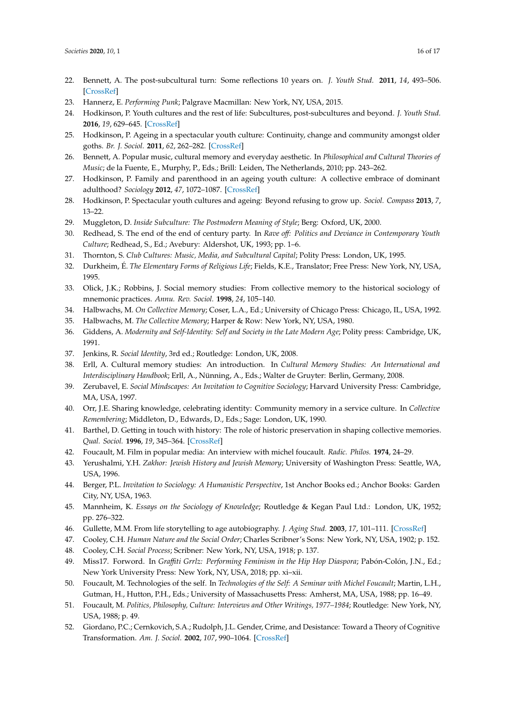- <span id="page-15-1"></span>22. Bennett, A. The post-subcultural turn: Some reflections 10 years on. *J. Youth Stud.* **2011**, *14*, 493–506. [\[CrossRef\]](http://dx.doi.org/10.1080/13676261.2011.559216)
- <span id="page-15-7"></span>23. Hannerz, E. *Performing Punk*; Palgrave Macmillan: New York, NY, USA, 2015.
- <span id="page-15-0"></span>24. Hodkinson, P. Youth cultures and the rest of life: Subcultures, post-subcultures and beyond. *J. Youth Stud.* **2016**, *19*, 629–645. [\[CrossRef\]](http://dx.doi.org/10.1080/13676261.2015.1098778)
- <span id="page-15-2"></span>25. Hodkinson, P. Ageing in a spectacular youth culture: Continuity, change and community amongst older goths. *Br. J. Sociol.* **2011**, *62*, 262–282. [\[CrossRef\]](http://dx.doi.org/10.1111/j.1468-4446.2011.01364.x)
- <span id="page-15-3"></span>26. Bennett, A. Popular music, cultural memory and everyday aesthetic. In *Philosophical and Cultural Theories of Music*; de la Fuente, E., Murphy, P., Eds.; Brill: Leiden, The Netherlands, 2010; pp. 243–262.
- 27. Hodkinson, P. Family and parenthood in an ageing youth culture: A collective embrace of dominant adulthood? *Sociology* **2012**, *47*, 1072–1087. [\[CrossRef\]](http://dx.doi.org/10.1177/0038038512454351)
- <span id="page-15-4"></span>28. Hodkinson, P. Spectacular youth cultures and ageing: Beyond refusing to grow up. *Sociol. Compass* **2013**, *7*, 13–22.
- <span id="page-15-5"></span>29. Muggleton, D. *Inside Subculture: The Postmodern Meaning of Style*; Berg: Oxford, UK, 2000.
- <span id="page-15-6"></span>30. Redhead, S. The end of the end of century party. In *Rave o*ff*: Politics and Deviance in Contemporary Youth Culture*; Redhead, S., Ed.; Avebury: Aldershot, UK, 1993; pp. 1–6.
- <span id="page-15-8"></span>31. Thornton, S. *Club Cultures: Music, Media, and Subcultural Capital*; Polity Press: London, UK, 1995.
- <span id="page-15-9"></span>32. Durkheim, É. *The Elementary Forms of Religious Life*; Fields, K.E., Translator; Free Press: New York, NY, USA, 1995.
- <span id="page-15-10"></span>33. Olick, J.K.; Robbins, J. Social memory studies: From collective memory to the historical sociology of mnemonic practices. *Annu. Rev. Sociol.* **1998**, *24*, 105–140.
- <span id="page-15-11"></span>34. Halbwachs, M. *On Collective Memory*; Coser, L.A., Ed.; University of Chicago Press: Chicago, IL, USA, 1992.
- <span id="page-15-12"></span>35. Halbwachs, M. *The Collective Memory*; Harper & Row: New York, NY, USA, 1980.
- <span id="page-15-13"></span>36. Giddens, A. *Modernity and Self-Identity: Self and Society in the Late Modern Age*; Polity press: Cambridge, UK, 1991.
- <span id="page-15-14"></span>37. Jenkins, R. *Social Identity*, 3rd ed.; Routledge: London, UK, 2008.
- <span id="page-15-15"></span>38. Erll, A. Cultural memory studies: An introduction. In *Cultural Memory Studies: An International and Interdisciplinary Handbook*; Erll, A., Nünning, A., Eds.; Walter de Gruyter: Berlin, Germany, 2008.
- <span id="page-15-16"></span>39. Zerubavel, E. *Social Mindscapes: An Invitation to Cognitive Sociology*; Harvard University Press: Cambridge, MA, USA, 1997.
- <span id="page-15-17"></span>40. Orr, J.E. Sharing knowledge, celebrating identity: Community memory in a service culture. In *Collective Remembering*; Middleton, D., Edwards, D., Eds.; Sage: London, UK, 1990.
- <span id="page-15-18"></span>41. Barthel, D. Getting in touch with history: The role of historic preservation in shaping collective memories. *Qual. Sociol.* **1996**, *19*, 345–364. [\[CrossRef\]](http://dx.doi.org/10.1007/BF02393276)
- <span id="page-15-28"></span>42. Foucault, M. Film in popular media: An interview with michel foucault. *Radic. Philos.* **1974**, 24–29.
- <span id="page-15-19"></span>43. Yerushalmi, Y.H. *Zakhor: Jewish History and Jewish Memory*; University of Washington Press: Seattle, WA, USA, 1996.
- <span id="page-15-20"></span>44. Berger, P.L. *Invitation to Sociology: A Humanistic Perspective*, 1st Anchor Books ed.; Anchor Books: Garden City, NY, USA, 1963.
- <span id="page-15-21"></span>45. Mannheim, K. *Essays on the Sociology of Knowledge*; Routledge & Kegan Paul Ltd.: London, UK, 1952; pp. 276–322.
- <span id="page-15-22"></span>46. Gullette, M.M. From life storytelling to age autobiography. *J. Aging Stud.* **2003**, *17*, 101–111. [\[CrossRef\]](http://dx.doi.org/10.1016/S0890-4065(02)00093-2)
- <span id="page-15-23"></span>47. Cooley, C.H. *Human Nature and the Social Order*; Charles Scribner's Sons: New York, NY, USA, 1902; p. 152.
- <span id="page-15-24"></span>48. Cooley, C.H. *Social Process*; Scribner: New York, NY, USA, 1918; p. 137.
- <span id="page-15-25"></span>49. Miss17. Forword. In *Gra*ffi*ti Grrlz: Performing Feminism in the Hip Hop Diaspora*; Pabón-Colón, J.N., Ed.; New York University Press: New York, NY, USA, 2018; pp. xi–xii.
- <span id="page-15-26"></span>50. Foucault, M. Technologies of the self. In *Technologies of the Self: A Seminar with Michel Foucault*; Martin, L.H., Gutman, H., Hutton, P.H., Eds.; University of Massachusetts Press: Amherst, MA, USA, 1988; pp. 16–49.
- <span id="page-15-29"></span>51. Foucault, M. *Politics, Philosophy, Culture: Interviews and Other Writings, 1977–1984*; Routledge: New York, NY, USA, 1988; p. 49.
- <span id="page-15-27"></span>52. Giordano, P.C.; Cernkovich, S.A.; Rudolph, J.L. Gender, Crime, and Desistance: Toward a Theory of Cognitive Transformation. *Am. J. Sociol.* **2002**, *107*, 990–1064. [\[CrossRef\]](http://dx.doi.org/10.1086/343191)